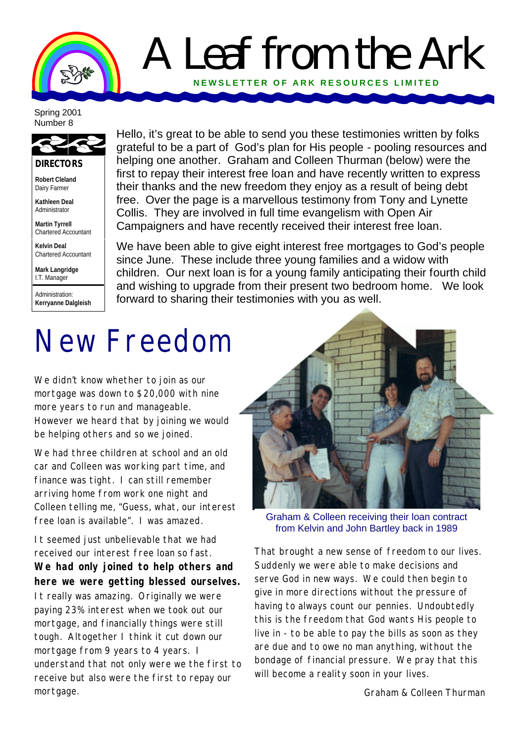### A Leaf from the Ark **NEWSLETTER OF ARK RE SOURCES LIMITED**

#### Spring 2001 Number 8



**DIRECTORS**

**Robert Cleland** Dairy Farmer

**Kathleen Deal** Administrator

**Martin Tyrrell** Chartered Accountant

**Kelvin Deal** Chartered Accountant

**Mark Langridge** I.T. Manager

Administration: **Kerryanne Dalgleish**

Hello, it's great to be able to send you these testimonies written by folks grateful to be a part of God's plan for His people - pooling resources and helping one another. Graham and Colleen Thurman (below) were the first to repay their interest free loan and have recently written to express their thanks and the new freedom they enjoy as a result of being debt free. Over the page is a marvellous testimony from Tony and Lynette Collis. They are involved in full time evangelism with Open Air Campaigners and have recently received their interest free loan.

We have been able to give eight interest free mortgages to God's people since June. These include three young families and a widow with children. Our next loan is for a young family anticipating their fourth child and wishing to upgrade from their present two bedroom home. We look forward to sharing their testimonies with you as well.

# New Freedom

We didn't know whether to join as our mortgage was down to \$20,000 with nine more years to run and manageable. However we heard that by joining we would be helping others and so we joined.

We had three children at school and an old car and Colleen was working part time, and finance was tight. I can still remember arriving home from work one night and Colleen telling me, "Guess, what, our interest free loan is available". I was amazed.

It seemed just unbelievable that we had received our interest free loan so fast. **We had only joined to help others and here we were getting blessed ourselves.**  It really was amazing. Originally we were paying 23% interest when we took out our mortgage, and financially things were still tough. Altogether I think it cut down our mortgage from 9 years to 4 years. I understand that not only were we the first to receive but also were the first to repay our mortgage.



Graham & Colleen receiving their loan contract from Kelvin and John Bartley back in 1989

That brought a new sense of freedom to our lives. Suddenly we were able to make decisions and serve God in new ways. We could then begin to give in more directions without the pressure of having to always count our pennies. Undoubtedly this is the freedom that God wants His people to live in - to be able to pay the bills as soon as they are due and to owe no man anything, without the bondage of financial pressure. We pray that this will become a reality soon in your lives.